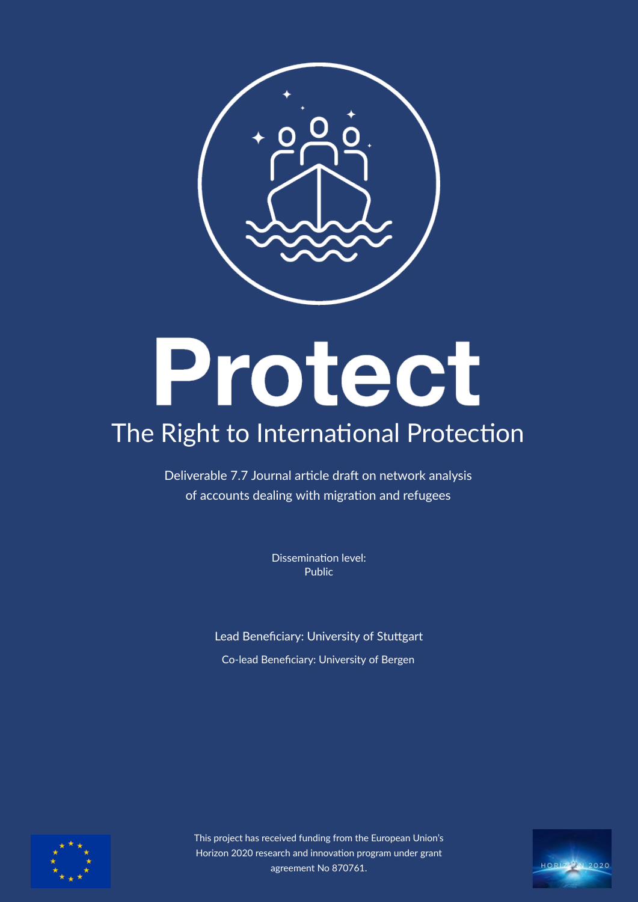

# Protect

# The Right to International Protection

Deliverable 7.7 Journal article draft on network analysis of accounts dealing with migration and refugees

> Dissemination level: Public

Lead Benefciary: University of Stutgart





This project has received funding from the European Union's Horizon 2020 research and innovation program under grant agreement No 870761.

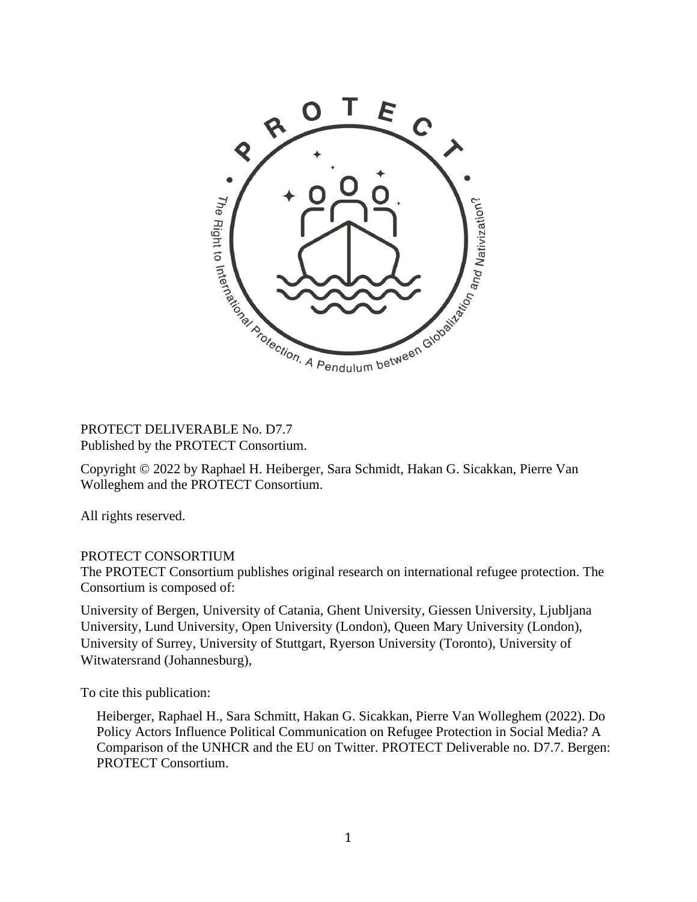

## PROTECT DELIVERABLE No. D7.7 Published by the PROTECT Consortium.

Copyright © 2022 by Raphael H. Heiberger, Sara Schmidt, Hakan G. Sicakkan, Pierre Van Wolleghem and the PROTECT Consortium.

All rights reserved.

### PROTECT CONSORTIUM

The PROTECT Consortium publishes original research on international refugee protection. The Consortium is composed of:

University of Bergen, University of Catania, Ghent University, Giessen University, Ljubljana University, Lund University, Open University (London), Queen Mary University (London), University of Surrey, University of Stuttgart, Ryerson University (Toronto), University of Witwatersrand (Johannesburg),

To cite this publication:

Heiberger, Raphael H., Sara Schmitt, Hakan G. Sicakkan, Pierre Van Wolleghem (2022). Do Policy Actors Influence Political Communication on Refugee Protection in Social Media? A Comparison of the UNHCR and the EU on Twitter. PROTECT Deliverable no. D7.7. Bergen: PROTECT Consortium.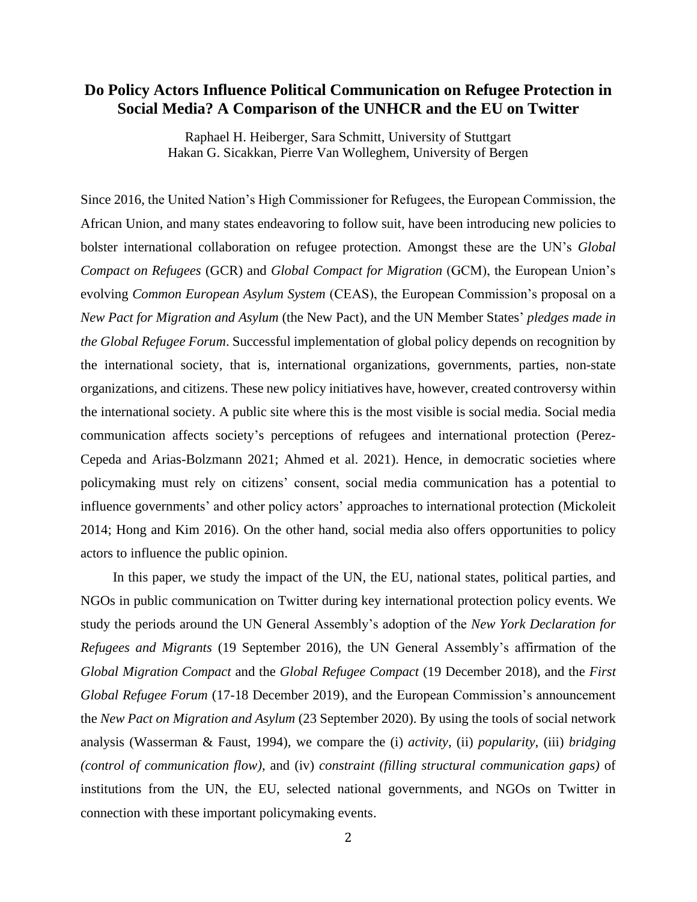# **Do Policy Actors Influence Political Communication on Refugee Protection in Social Media? A Comparison of the UNHCR and the EU on Twitter**

Raphael H. Heiberger, Sara Schmitt, University of Stuttgart Hakan G. Sicakkan, Pierre Van Wolleghem, University of Bergen

Since 2016, the United Nation's High Commissioner for Refugees, the European Commission, the African Union, and many states endeavoring to follow suit, have been introducing new policies to bolster international collaboration on refugee protection. Amongst these are the UN's *Global Compact on Refugees* (GCR) and *Global Compact for Migration* (GCM), the European Union's evolving *Common European Asylum System* (CEAS), the European Commission's proposal on a *New Pact for Migration and Asylum* (the New Pact), and the UN Member States' *pledges made in the Global Refugee Forum*. Successful implementation of global policy depends on recognition by the international society, that is, international organizations, governments, parties, non-state organizations, and citizens. These new policy initiatives have, however, created controversy within the international society. A public site where this is the most visible is social media. Social media communication affects society's perceptions of refugees and international protection (Perez-Cepeda and Arias-Bolzmann 2021; Ahmed et al. 2021). Hence, in democratic societies where policymaking must rely on citizens' consent, social media communication has a potential to influence governments' and other policy actors' approaches to international protection (Mickoleit 2014; Hong and Kim 2016). On the other hand, social media also offers opportunities to policy actors to influence the public opinion.

In this paper, we study the impact of the UN, the EU, national states, political parties, and NGOs in public communication on Twitter during key international protection policy events. We study the periods around the UN General Assembly's adoption of the *New York Declaration for Refugees and Migrants* (19 September 2016), the UN General Assembly's affirmation of the *Global Migration Compact* and the *Global Refugee Compact* (19 December 2018), and the *First Global Refugee Forum* (17-18 December 2019), and the European Commission's announcement the *New Pact on Migration and Asylum* (23 September 2020). By using the tools of social network analysis (Wasserman & Faust, 1994), we compare the (i) *activity*, (ii) *popularity*, (iii) *bridging (control of communication flow)*, and (iv) *constraint (filling structural communication gaps)* of institutions from the UN, the EU, selected national governments, and NGOs on Twitter in connection with these important policymaking events.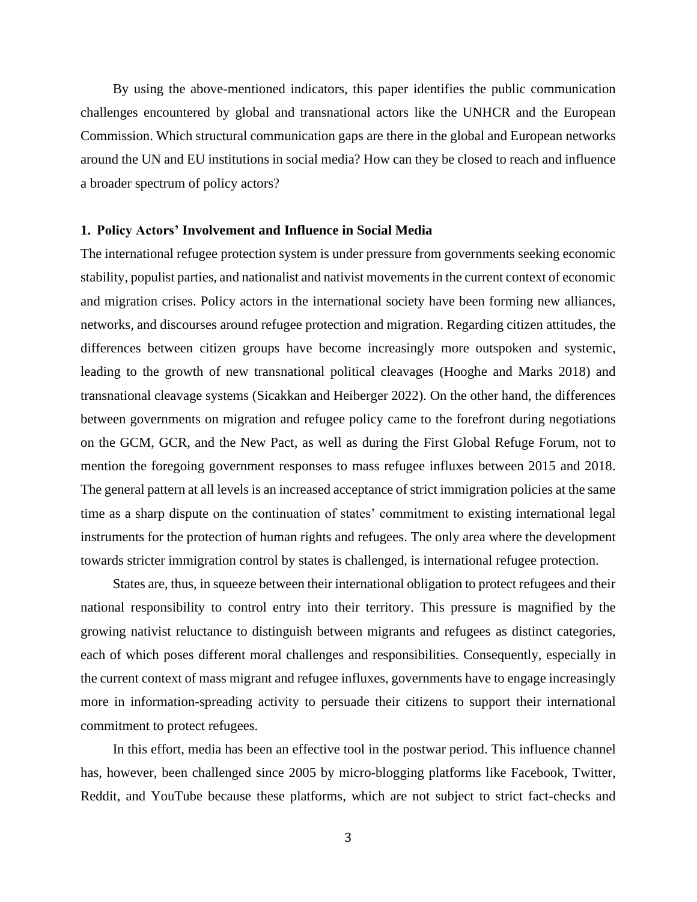By using the above-mentioned indicators, this paper identifies the public communication challenges encountered by global and transnational actors like the UNHCR and the European Commission. Which structural communication gaps are there in the global and European networks around the UN and EU institutions in social media? How can they be closed to reach and influence a broader spectrum of policy actors?

#### **1. Policy Actors' Involvement and Influence in Social Media**

The international refugee protection system is under pressure from governments seeking economic stability, populist parties, and nationalist and nativist movements in the current context of economic and migration crises. Policy actors in the international society have been forming new alliances, networks, and discourses around refugee protection and migration. Regarding citizen attitudes, the differences between citizen groups have become increasingly more outspoken and systemic, leading to the growth of new transnational political cleavages (Hooghe and Marks 2018) and transnational cleavage systems (Sicakkan and Heiberger 2022). On the other hand, the differences between governments on migration and refugee policy came to the forefront during negotiations on the GCM, GCR, and the New Pact, as well as during the First Global Refuge Forum, not to mention the foregoing government responses to mass refugee influxes between 2015 and 2018. The general pattern at all levels is an increased acceptance of strict immigration policies at the same time as a sharp dispute on the continuation of states' commitment to existing international legal instruments for the protection of human rights and refugees. The only area where the development towards stricter immigration control by states is challenged, is international refugee protection.

States are, thus, in squeeze between their international obligation to protect refugees and their national responsibility to control entry into their territory. This pressure is magnified by the growing nativist reluctance to distinguish between migrants and refugees as distinct categories, each of which poses different moral challenges and responsibilities. Consequently, especially in the current context of mass migrant and refugee influxes, governments have to engage increasingly more in information-spreading activity to persuade their citizens to support their international commitment to protect refugees.

In this effort, media has been an effective tool in the postwar period. This influence channel has, however, been challenged since 2005 by micro-blogging platforms like Facebook, Twitter, Reddit, and YouTube because these platforms, which are not subject to strict fact-checks and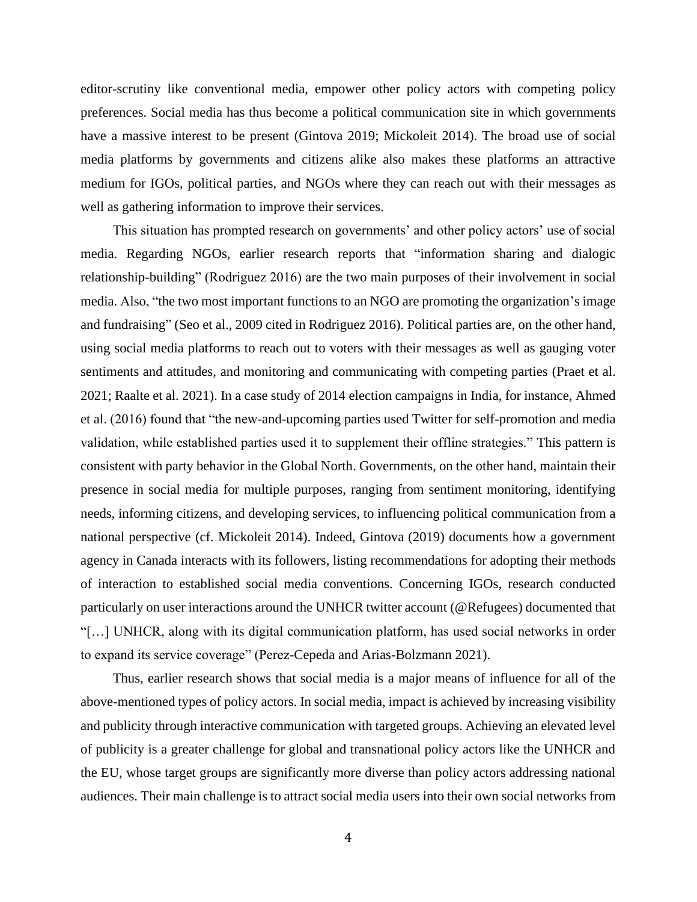editor-scrutiny like conventional media, empower other policy actors with competing policy preferences. Social media has thus become a political communication site in which governments have a massive interest to be present (Gintova 2019; Mickoleit 2014). The broad use of social media platforms by governments and citizens alike also makes these platforms an attractive medium for IGOs, political parties, and NGOs where they can reach out with their messages as well as gathering information to improve their services.

This situation has prompted research on governments' and other policy actors' use of social media. Regarding NGOs, earlier research reports that "information sharing and dialogic relationship-building" (Rodriguez 2016) are the two main purposes of their involvement in social media. Also, "the two most important functions to an NGO are promoting the organization's image and fundraising" (Seo et al., 2009 cited in Rodriguez 2016). Political parties are, on the other hand, using social media platforms to reach out to voters with their messages as well as gauging voter sentiments and attitudes, and monitoring and communicating with competing parties (Praet et al. 2021; Raalte et al. 2021). In a case study of 2014 election campaigns in India, for instance, Ahmed et al. (2016) found that "the new-and-upcoming parties used Twitter for self-promotion and media validation, while established parties used it to supplement their offline strategies." This pattern is consistent with party behavior in the Global North. Governments, on the other hand, maintain their presence in social media for multiple purposes, ranging from sentiment monitoring, identifying needs, informing citizens, and developing services, to influencing political communication from a national perspective (cf. Mickoleit 2014). Indeed, Gintova (2019) documents how a government agency in Canada interacts with its followers, listing recommendations for adopting their methods of interaction to established social media conventions. Concerning IGOs, research conducted particularly on user interactions around the UNHCR twitter account (@Refugees) documented that "[…] UNHCR, along with its digital communication platform, has used social networks in order to expand its service coverage" (Perez-Cepeda and Arias-Bolzmann 2021).

Thus, earlier research shows that social media is a major means of influence for all of the above-mentioned types of policy actors. In social media, impact is achieved by increasing visibility and publicity through interactive communication with targeted groups. Achieving an elevated level of publicity is a greater challenge for global and transnational policy actors like the UNHCR and the EU, whose target groups are significantly more diverse than policy actors addressing national audiences. Their main challenge is to attract social media users into their own social networks from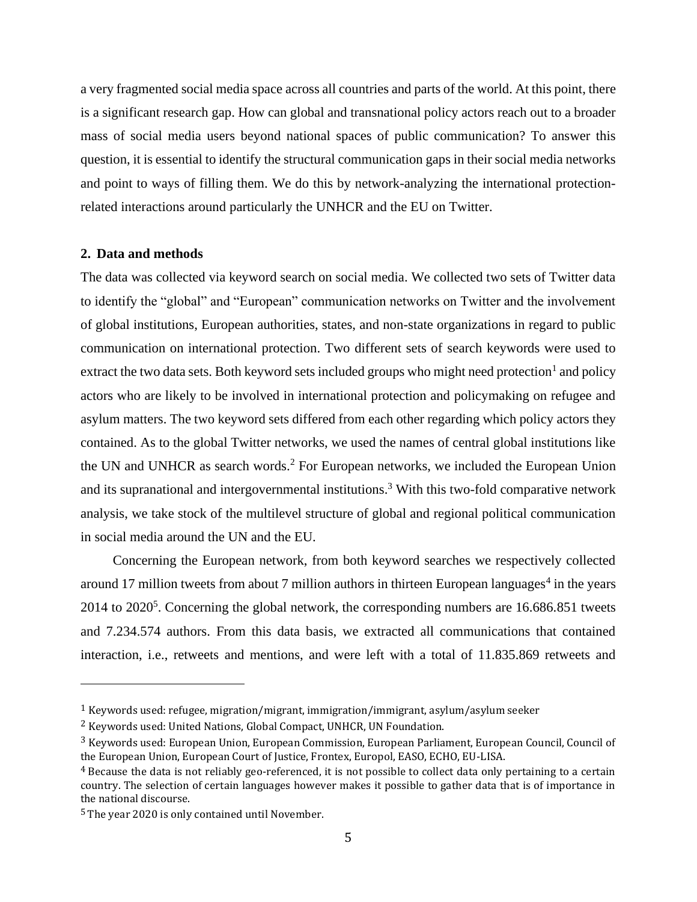a very fragmented social media space across all countries and parts of the world. At this point, there is a significant research gap. How can global and transnational policy actors reach out to a broader mass of social media users beyond national spaces of public communication? To answer this question, it is essential to identify the structural communication gaps in their social media networks and point to ways of filling them. We do this by network-analyzing the international protectionrelated interactions around particularly the UNHCR and the EU on Twitter.

#### **2. Data and methods**

The data was collected via keyword search on social media. We collected two sets of Twitter data to identify the "global" and "European" communication networks on Twitter and the involvement of global institutions, European authorities, states, and non-state organizations in regard to public communication on international protection. Two different sets of search keywords were used to extract the two data sets. Both keyword sets included groups who might need protection<sup>1</sup> and policy actors who are likely to be involved in international protection and policymaking on refugee and asylum matters. The two keyword sets differed from each other regarding which policy actors they contained. As to the global Twitter networks, we used the names of central global institutions like the UN and UNHCR as search words.<sup>2</sup> For European networks, we included the European Union and its supranational and intergovernmental institutions.<sup>3</sup> With this two-fold comparative network analysis, we take stock of the multilevel structure of global and regional political communication in social media around the UN and the EU.

Concerning the European network, from both keyword searches we respectively collected around 17 million tweets from about 7 million authors in thirteen European languages<sup>4</sup> in the years  $2014$  to  $2020<sup>5</sup>$ . Concerning the global network, the corresponding numbers are 16.686.851 tweets and 7.234.574 authors. From this data basis, we extracted all communications that contained interaction, i.e., retweets and mentions, and were left with a total of 11.835.869 retweets and

<sup>&</sup>lt;sup>1</sup> Keywords used: refugee, migration/migrant, immigration/immigrant, asylum/asylum seeker

<sup>2</sup> Keywords used: United Nations, Global Compact, UNHCR, UN Foundation.

<sup>3</sup> Keywords used: European Union, European Commission, European Parliament, European Council, Council of the European Union, European Court of Justice, Frontex, Europol, EASO, ECHO, EU-LISA.

 $4$  Because the data is not reliably geo-referenced, it is not possible to collect data only pertaining to a certain country. The selection of certain languages however makes it possible to gather data that is of importance in the national discourse.

<sup>5</sup> The year 2020 is only contained until November.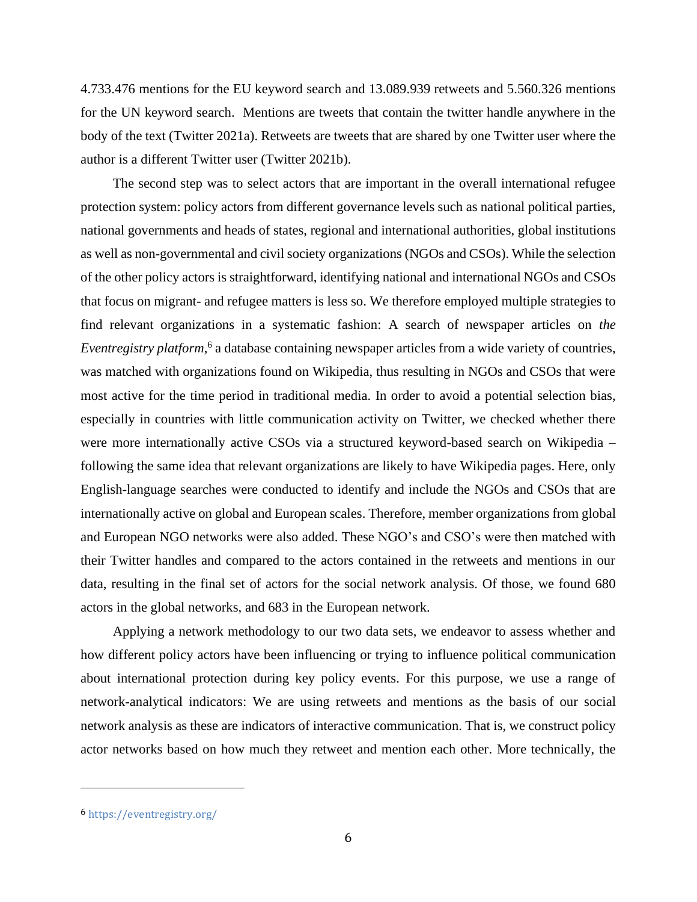4.733.476 mentions for the EU keyword search and 13.089.939 retweets and 5.560.326 mentions for the UN keyword search. Mentions are tweets that contain the twitter handle anywhere in the body of the text (Twitter 2021a). Retweets are tweets that are shared by one Twitter user where the author is a different Twitter user (Twitter 2021b).

The second step was to select actors that are important in the overall international refugee protection system: policy actors from different governance levels such as national political parties, national governments and heads of states, regional and international authorities, global institutions as well as non-governmental and civil society organizations (NGOs and CSOs). While the selection of the other policy actors is straightforward, identifying national and international NGOs and CSOs that focus on migrant- and refugee matters is less so. We therefore employed multiple strategies to find relevant organizations in a systematic fashion: A search of newspaper articles on *the Eventregistry platform*, 6 a database containing newspaper articles from a wide variety of countries, was matched with organizations found on Wikipedia, thus resulting in NGOs and CSOs that were most active for the time period in traditional media. In order to avoid a potential selection bias, especially in countries with little communication activity on Twitter, we checked whether there were more internationally active CSOs via a structured keyword-based search on Wikipedia – following the same idea that relevant organizations are likely to have Wikipedia pages. Here, only English-language searches were conducted to identify and include the NGOs and CSOs that are internationally active on global and European scales. Therefore, member organizations from global and European NGO networks were also added. These NGO's and CSO's were then matched with their Twitter handles and compared to the actors contained in the retweets and mentions in our data, resulting in the final set of actors for the social network analysis. Of those, we found 680 actors in the global networks, and 683 in the European network.

Applying a network methodology to our two data sets, we endeavor to assess whether and how different policy actors have been influencing or trying to influence political communication about international protection during key policy events. For this purpose, we use a range of network-analytical indicators: We are using retweets and mentions as the basis of our social network analysis as these are indicators of interactive communication. That is, we construct policy actor networks based on how much they retweet and mention each other. More technically, the

<sup>6</sup> <https://eventregistry.org/>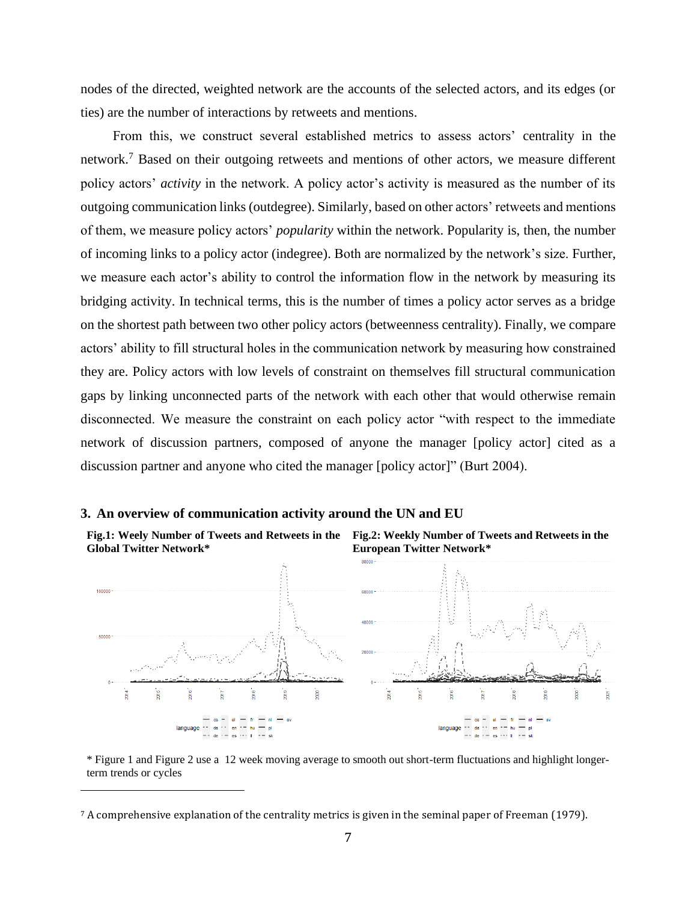nodes of the directed, weighted network are the accounts of the selected actors, and its edges (or ties) are the number of interactions by retweets and mentions.

From this, we construct several established metrics to assess actors' centrality in the network.<sup>7</sup> Based on their outgoing retweets and mentions of other actors, we measure different policy actors' *activity* in the network. A policy actor's activity is measured as the number of its outgoing communication links (outdegree). Similarly, based on other actors' retweets and mentions of them, we measure policy actors' *popularity* within the network. Popularity is, then, the number of incoming links to a policy actor (indegree). Both are normalized by the network's size. Further, we measure each actor's ability to control the information flow in the network by measuring its bridging activity. In technical terms, this is the number of times a policy actor serves as a bridge on the shortest path between two other policy actors (betweenness centrality). Finally, we compare actors' ability to fill structural holes in the communication network by measuring how constrained they are. Policy actors with low levels of constraint on themselves fill structural communication gaps by linking unconnected parts of the network with each other that would otherwise remain disconnected. We measure the constraint on each policy actor "with respect to the immediate network of discussion partners, composed of anyone the manager [policy actor] cited as a discussion partner and anyone who cited the manager [policy actor]" (Burt 2004).

#### **3. An overview of communication activity around the UN and EU**





<sup>7</sup> A comprehensive explanation of the centrality metrics is given in the seminal paper of Freeman (1979).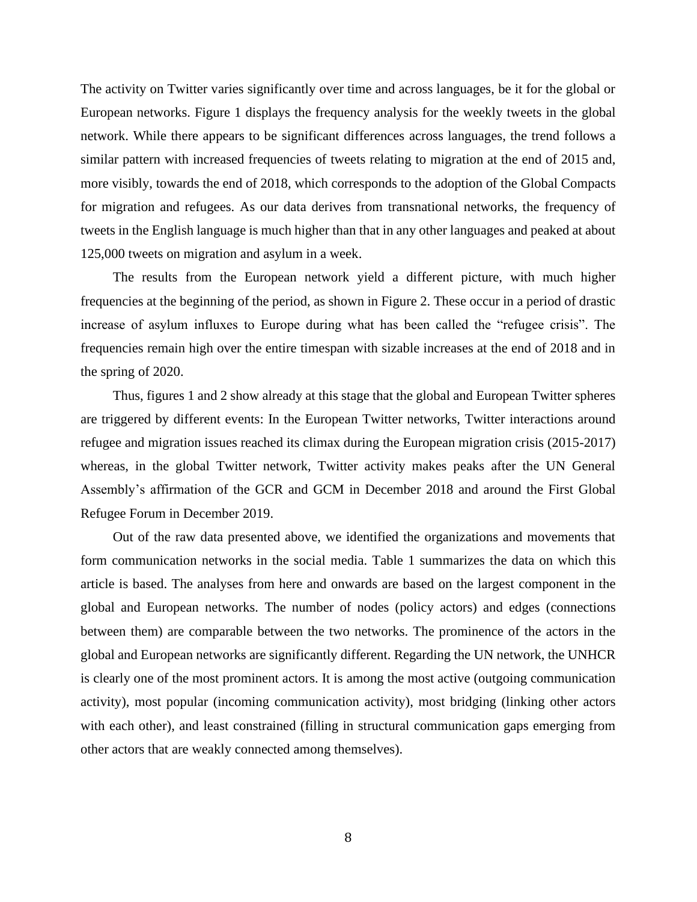The activity on Twitter varies significantly over time and across languages, be it for the global or European networks. Figure 1 displays the frequency analysis for the weekly tweets in the global network. While there appears to be significant differences across languages, the trend follows a similar pattern with increased frequencies of tweets relating to migration at the end of 2015 and, more visibly, towards the end of 2018, which corresponds to the adoption of the Global Compacts for migration and refugees. As our data derives from transnational networks, the frequency of tweets in the English language is much higher than that in any other languages and peaked at about 125,000 tweets on migration and asylum in a week.

The results from the European network yield a different picture, with much higher frequencies at the beginning of the period, as shown in Figure 2. These occur in a period of drastic increase of asylum influxes to Europe during what has been called the "refugee crisis". The frequencies remain high over the entire timespan with sizable increases at the end of 2018 and in the spring of 2020.

Thus, figures 1 and 2 show already at this stage that the global and European Twitter spheres are triggered by different events: In the European Twitter networks, Twitter interactions around refugee and migration issues reached its climax during the European migration crisis (2015-2017) whereas, in the global Twitter network, Twitter activity makes peaks after the UN General Assembly's affirmation of the GCR and GCM in December 2018 and around the First Global Refugee Forum in December 2019.

Out of the raw data presented above, we identified the organizations and movements that form communication networks in the social media. Table 1 summarizes the data on which this article is based. The analyses from here and onwards are based on the largest component in the global and European networks. The number of nodes (policy actors) and edges (connections between them) are comparable between the two networks. The prominence of the actors in the global and European networks are significantly different. Regarding the UN network, the UNHCR is clearly one of the most prominent actors. It is among the most active (outgoing communication activity), most popular (incoming communication activity), most bridging (linking other actors with each other), and least constrained (filling in structural communication gaps emerging from other actors that are weakly connected among themselves).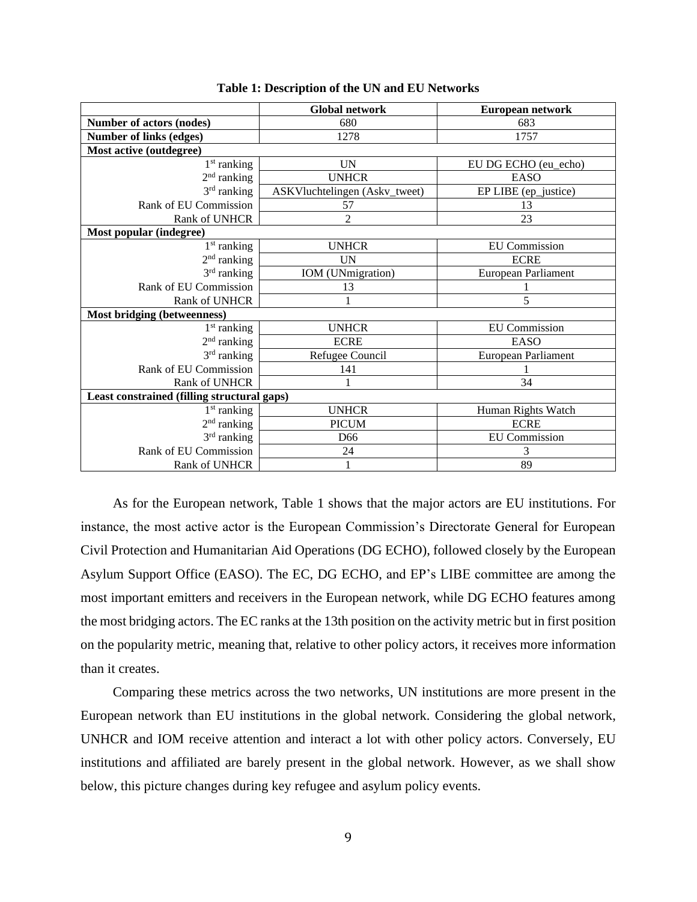|                                             | <b>Global network</b>         | European network     |  |  |  |  |
|---------------------------------------------|-------------------------------|----------------------|--|--|--|--|
| <b>Number of actors (nodes)</b>             | 680                           | 683                  |  |  |  |  |
| <b>Number of links (edges)</b>              | 1278                          | 1757                 |  |  |  |  |
| Most active (outdegree)                     |                               |                      |  |  |  |  |
| $1st$ ranking                               | <b>UN</b>                     | EU DG ECHO (eu_echo) |  |  |  |  |
| $2nd$ ranking                               | <b>UNHCR</b>                  | EASO                 |  |  |  |  |
| $3rd$ ranking                               | ASKVluchtelingen (Askv_tweet) | EP LIBE (ep_justice) |  |  |  |  |
| Rank of EU Commission                       | 57                            | 13                   |  |  |  |  |
| Rank of UNHCR                               | $\overline{2}$<br>23          |                      |  |  |  |  |
| Most popular (indegree)                     |                               |                      |  |  |  |  |
| $1st$ ranking                               | <b>UNHCR</b>                  | <b>EU</b> Commission |  |  |  |  |
| $2nd$ ranking                               | <b>UN</b>                     | <b>ECRE</b>          |  |  |  |  |
| $3rd$ ranking                               | IOM (UNmigration)             | European Parliament  |  |  |  |  |
| Rank of EU Commission                       | 13                            | 1                    |  |  |  |  |
| Rank of UNHCR                               |                               | 5                    |  |  |  |  |
| Most bridging (betweenness)                 |                               |                      |  |  |  |  |
| $1st$ ranking                               | <b>UNHCR</b>                  | <b>EU</b> Commission |  |  |  |  |
| $2nd$ ranking                               | <b>ECRE</b>                   | <b>EASO</b>          |  |  |  |  |
| $3rd$ ranking                               | Refugee Council               | European Parliament  |  |  |  |  |
| Rank of EU Commission                       | 141                           |                      |  |  |  |  |
| Rank of UNHCR                               |                               | 34                   |  |  |  |  |
| Least constrained (filling structural gaps) |                               |                      |  |  |  |  |
| 1 <sup>st</sup> ranking                     | <b>UNHCR</b>                  | Human Rights Watch   |  |  |  |  |
| $2nd$ ranking                               | <b>PICUM</b>                  | <b>ECRE</b>          |  |  |  |  |
| $3rd$ ranking                               | D <sub>66</sub>               | <b>EU</b> Commission |  |  |  |  |
| Rank of EU Commission                       | 24                            | 3                    |  |  |  |  |
| Rank of UNHCR                               | 1                             | 89                   |  |  |  |  |

**Table 1: Description of the UN and EU Networks**

As for the European network, Table 1 shows that the major actors are EU institutions. For instance, the most active actor is the European Commission's Directorate General for European Civil Protection and Humanitarian Aid Operations (DG ECHO), followed closely by the European Asylum Support Office (EASO). The EC, DG ECHO, and EP's LIBE committee are among the most important emitters and receivers in the European network, while DG ECHO features among the most bridging actors. The EC ranks at the 13th position on the activity metric but in first position on the popularity metric, meaning that, relative to other policy actors, it receives more information than it creates.

Comparing these metrics across the two networks, UN institutions are more present in the European network than EU institutions in the global network. Considering the global network, UNHCR and IOM receive attention and interact a lot with other policy actors. Conversely, EU institutions and affiliated are barely present in the global network. However, as we shall show below, this picture changes during key refugee and asylum policy events.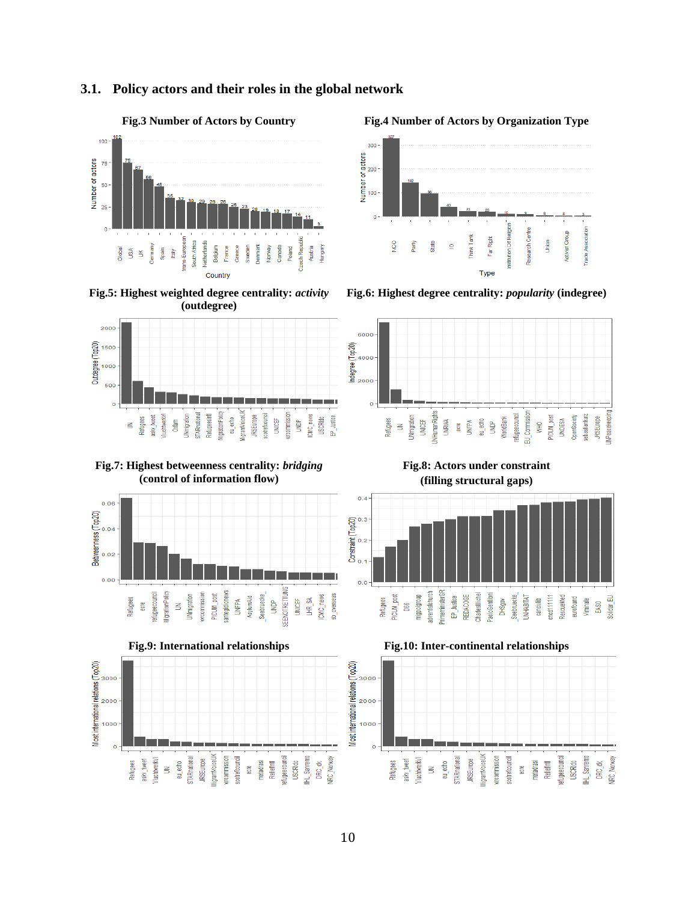

#### **3.1. Policy actors and their roles in the global network**





**Fig.7: Highest betweenness centrality:** *bridging* **(control of information flow)**







**Fig.3 Number of Actors by Country Fig.4 Number of Actors by Organization Type**



**Fig.6: Highest degree centrality:** *popularity* **(indegree)**



**Fig.8: Actors under constraint (filling structural gaps)**





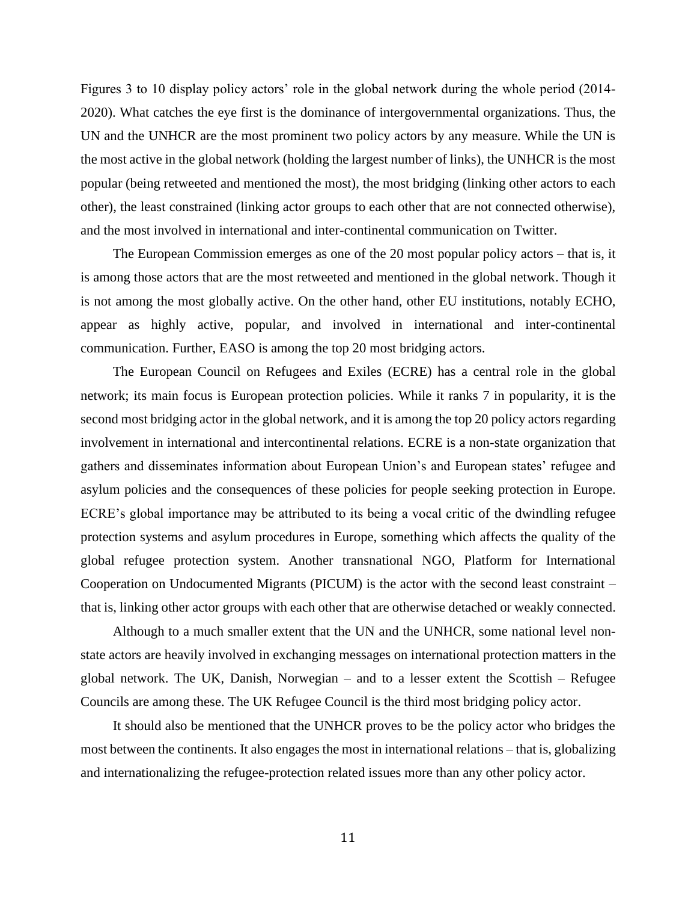Figures 3 to 10 display policy actors' role in the global network during the whole period (2014- 2020). What catches the eye first is the dominance of intergovernmental organizations. Thus, the UN and the UNHCR are the most prominent two policy actors by any measure. While the UN is the most active in the global network (holding the largest number of links), the UNHCR is the most popular (being retweeted and mentioned the most), the most bridging (linking other actors to each other), the least constrained (linking actor groups to each other that are not connected otherwise), and the most involved in international and inter-continental communication on Twitter.

The European Commission emerges as one of the 20 most popular policy actors – that is, it is among those actors that are the most retweeted and mentioned in the global network. Though it is not among the most globally active. On the other hand, other EU institutions, notably ECHO, appear as highly active, popular, and involved in international and inter-continental communication. Further, EASO is among the top 20 most bridging actors.

The European Council on Refugees and Exiles (ECRE) has a central role in the global network; its main focus is European protection policies. While it ranks 7 in popularity, it is the second most bridging actor in the global network, and it is among the top 20 policy actors regarding involvement in international and intercontinental relations. ECRE is a non-state organization that gathers and disseminates information about European Union's and European states' refugee and asylum policies and the consequences of these policies for people seeking protection in Europe. ECRE's global importance may be attributed to its being a vocal critic of the dwindling refugee protection systems and asylum procedures in Europe, something which affects the quality of the global refugee protection system. Another transnational NGO, Platform for International Cooperation on Undocumented Migrants (PICUM) is the actor with the second least constraint – that is, linking other actor groups with each other that are otherwise detached or weakly connected.

Although to a much smaller extent that the UN and the UNHCR, some national level nonstate actors are heavily involved in exchanging messages on international protection matters in the global network. The UK, Danish, Norwegian – and to a lesser extent the Scottish – Refugee Councils are among these. The UK Refugee Council is the third most bridging policy actor.

It should also be mentioned that the UNHCR proves to be the policy actor who bridges the most between the continents. It also engages the most in international relations – that is, globalizing and internationalizing the refugee-protection related issues more than any other policy actor.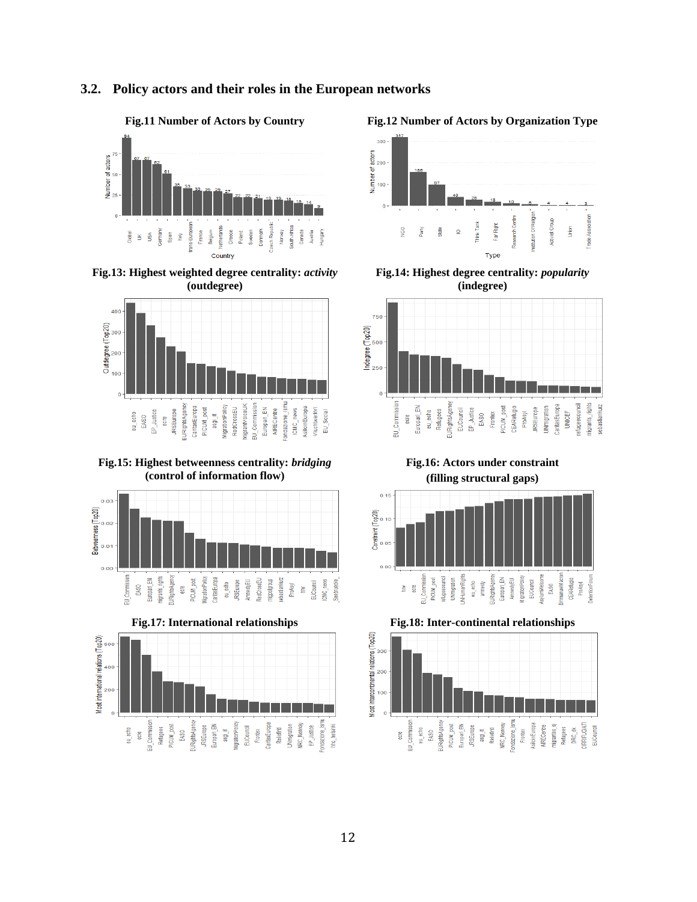#### **3.2. Policy actors and their roles in the European networks**



**Fig.13: Highest weighted degree centrality:** *activity* **(outdegree)**



**Fig.15: Highest betweenness centrality:** *bridging* **(control of information flow)**







**Fig.11 Number of Actors by Country Fig.12 Number of Actors by Organization Type**



**Fig.14: Highest degree centrality:** *popularity* **(indegree)**



**Fig.16: Actors under constraint (filling structural gaps)**



**Fig.17: International relationships Fig.18: Inter-continental relationships** 

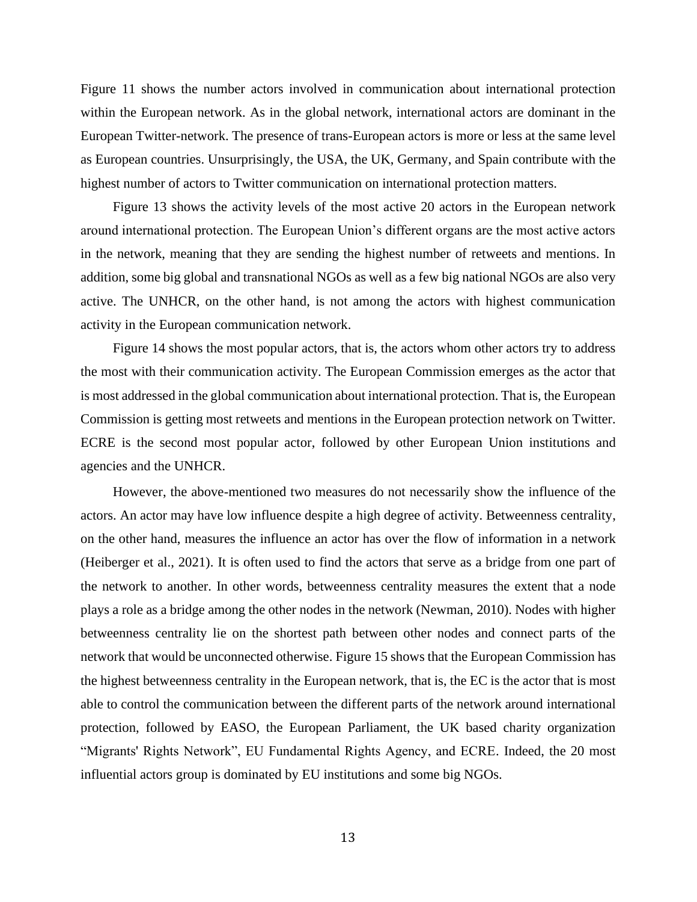Figure 11 shows the number actors involved in communication about international protection within the European network. As in the global network, international actors are dominant in the European Twitter-network. The presence of trans-European actors is more or less at the same level as European countries. Unsurprisingly, the USA, the UK, Germany, and Spain contribute with the highest number of actors to Twitter communication on international protection matters.

Figure 13 shows the activity levels of the most active 20 actors in the European network around international protection. The European Union's different organs are the most active actors in the network, meaning that they are sending the highest number of retweets and mentions. In addition, some big global and transnational NGOs as well as a few big national NGOs are also very active. The UNHCR, on the other hand, is not among the actors with highest communication activity in the European communication network.

Figure 14 shows the most popular actors, that is, the actors whom other actors try to address the most with their communication activity. The European Commission emerges as the actor that is most addressed in the global communication about international protection. That is, the European Commission is getting most retweets and mentions in the European protection network on Twitter. ECRE is the second most popular actor, followed by other European Union institutions and agencies and the UNHCR.

However, the above-mentioned two measures do not necessarily show the influence of the actors. An actor may have low influence despite a high degree of activity. Betweenness centrality, on the other hand, measures the influence an actor has over the flow of information in a network (Heiberger et al., 2021). It is often used to find the actors that serve as a bridge from one part of the network to another. In other words, betweenness centrality measures the extent that a node plays a role as a bridge among the other nodes in the network (Newman, 2010). Nodes with higher betweenness centrality lie on the shortest path between other nodes and connect parts of the network that would be unconnected otherwise. Figure 15 shows that the European Commission has the highest betweenness centrality in the European network, that is, the EC is the actor that is most able to control the communication between the different parts of the network around international protection, followed by EASO, the European Parliament, the UK based charity organization "Migrants' Rights Network", EU Fundamental Rights Agency, and ECRE. Indeed, the 20 most influential actors group is dominated by EU institutions and some big NGOs.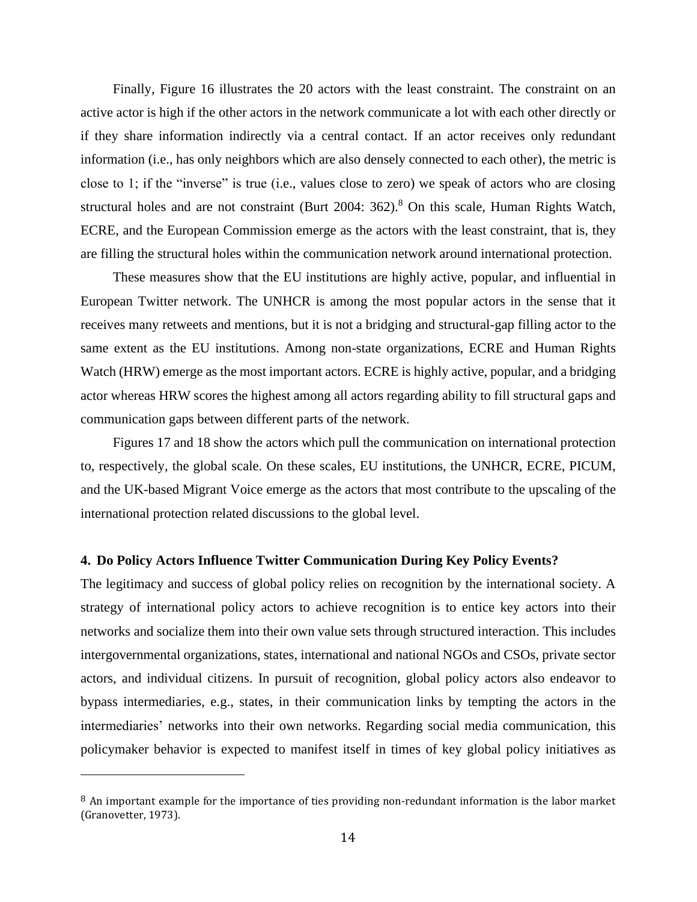Finally, Figure 16 illustrates the 20 actors with the least constraint. The constraint on an active actor is high if the other actors in the network communicate a lot with each other directly or if they share information indirectly via a central contact. If an actor receives only redundant information (i.e., has only neighbors which are also densely connected to each other), the metric is close to 1; if the "inverse" is true (i.e., values close to zero) we speak of actors who are closing structural holes and are not constraint (Burt 2004: 362).<sup>8</sup> On this scale, Human Rights Watch, ECRE, and the European Commission emerge as the actors with the least constraint, that is, they are filling the structural holes within the communication network around international protection.

These measures show that the EU institutions are highly active, popular, and influential in European Twitter network. The UNHCR is among the most popular actors in the sense that it receives many retweets and mentions, but it is not a bridging and structural-gap filling actor to the same extent as the EU institutions. Among non-state organizations, ECRE and Human Rights Watch (HRW) emerge as the most important actors. ECRE is highly active, popular, and a bridging actor whereas HRW scores the highest among all actors regarding ability to fill structural gaps and communication gaps between different parts of the network.

Figures 17 and 18 show the actors which pull the communication on international protection to, respectively, the global scale. On these scales, EU institutions, the UNHCR, ECRE, PICUM, and the UK-based Migrant Voice emerge as the actors that most contribute to the upscaling of the international protection related discussions to the global level.

#### **4. Do Policy Actors Influence Twitter Communication During Key Policy Events?**

The legitimacy and success of global policy relies on recognition by the international society. A strategy of international policy actors to achieve recognition is to entice key actors into their networks and socialize them into their own value sets through structured interaction. This includes intergovernmental organizations, states, international and national NGOs and CSOs, private sector actors, and individual citizens. In pursuit of recognition, global policy actors also endeavor to bypass intermediaries, e.g., states, in their communication links by tempting the actors in the intermediaries' networks into their own networks. Regarding social media communication, this policymaker behavior is expected to manifest itself in times of key global policy initiatives as

<sup>&</sup>lt;sup>8</sup> An important example for the importance of ties providing non-redundant information is the labor market (Granovetter, 1973).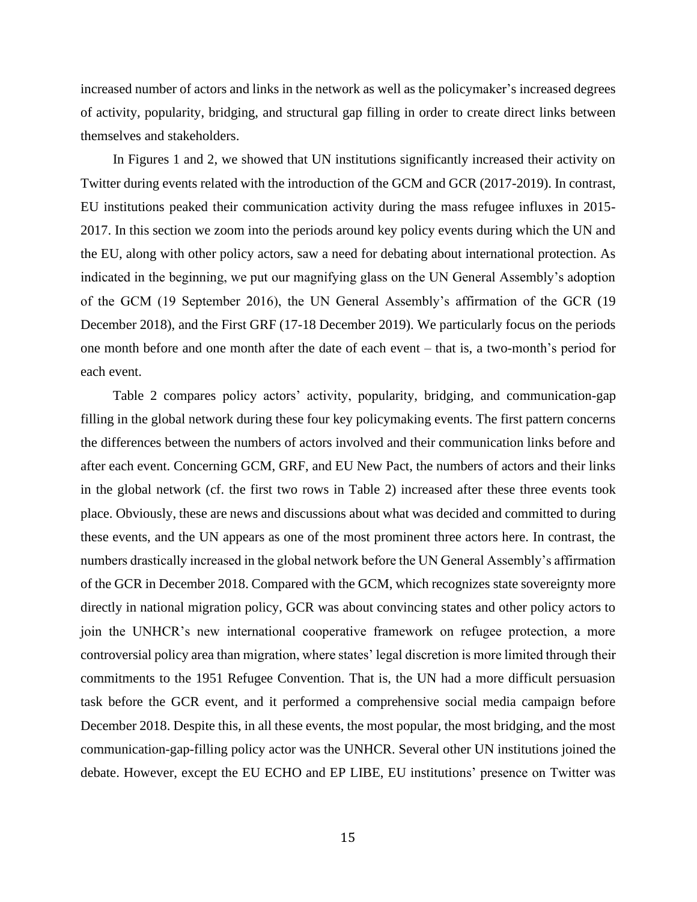increased number of actors and links in the network as well as the policymaker's increased degrees of activity, popularity, bridging, and structural gap filling in order to create direct links between themselves and stakeholders.

In Figures 1 and 2, we showed that UN institutions significantly increased their activity on Twitter during events related with the introduction of the GCM and GCR (2017-2019). In contrast, EU institutions peaked their communication activity during the mass refugee influxes in 2015- 2017. In this section we zoom into the periods around key policy events during which the UN and the EU, along with other policy actors, saw a need for debating about international protection. As indicated in the beginning, we put our magnifying glass on the UN General Assembly's adoption of the GCM (19 September 2016), the UN General Assembly's affirmation of the GCR (19 December 2018), and the First GRF (17-18 December 2019). We particularly focus on the periods one month before and one month after the date of each event – that is, a two-month's period for each event.

Table 2 compares policy actors' activity, popularity, bridging, and communication-gap filling in the global network during these four key policymaking events. The first pattern concerns the differences between the numbers of actors involved and their communication links before and after each event. Concerning GCM, GRF, and EU New Pact, the numbers of actors and their links in the global network (cf. the first two rows in Table 2) increased after these three events took place. Obviously, these are news and discussions about what was decided and committed to during these events, and the UN appears as one of the most prominent three actors here. In contrast, the numbers drastically increased in the global network before the UN General Assembly's affirmation of the GCR in December 2018. Compared with the GCM, which recognizes state sovereignty more directly in national migration policy, GCR was about convincing states and other policy actors to join the UNHCR's new international cooperative framework on refugee protection, a more controversial policy area than migration, where states' legal discretion is more limited through their commitments to the 1951 Refugee Convention. That is, the UN had a more difficult persuasion task before the GCR event, and it performed a comprehensive social media campaign before December 2018. Despite this, in all these events, the most popular, the most bridging, and the most communication-gap-filling policy actor was the UNHCR. Several other UN institutions joined the debate. However, except the EU ECHO and EP LIBE, EU institutions' presence on Twitter was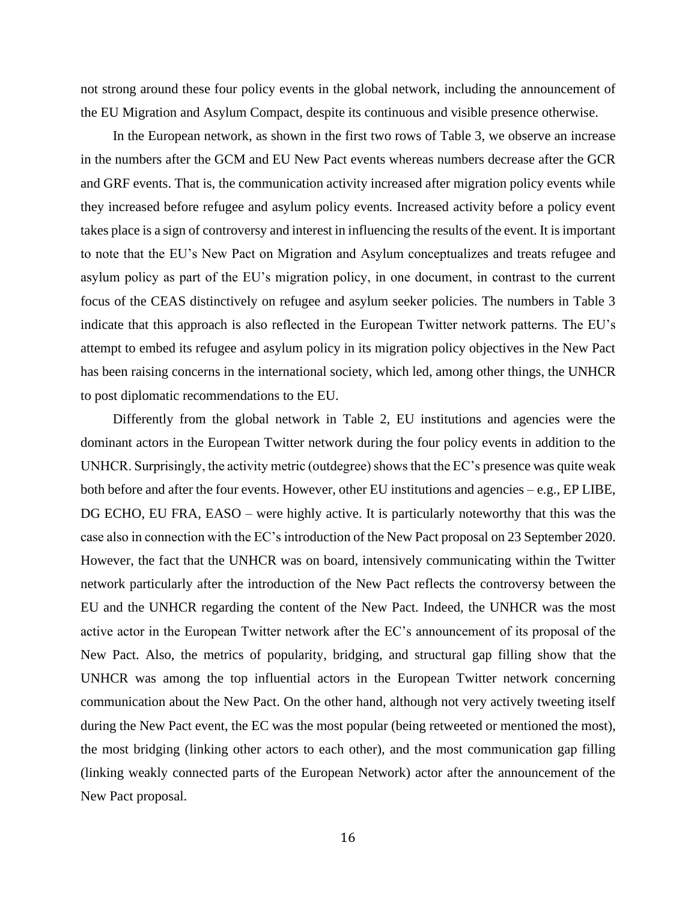not strong around these four policy events in the global network, including the announcement of the EU Migration and Asylum Compact, despite its continuous and visible presence otherwise.

In the European network, as shown in the first two rows of Table 3, we observe an increase in the numbers after the GCM and EU New Pact events whereas numbers decrease after the GCR and GRF events. That is, the communication activity increased after migration policy events while they increased before refugee and asylum policy events. Increased activity before a policy event takes place is a sign of controversy and interest in influencing the results of the event. It is important to note that the EU's New Pact on Migration and Asylum conceptualizes and treats refugee and asylum policy as part of the EU's migration policy, in one document, in contrast to the current focus of the CEAS distinctively on refugee and asylum seeker policies. The numbers in Table 3 indicate that this approach is also reflected in the European Twitter network patterns. The EU's attempt to embed its refugee and asylum policy in its migration policy objectives in the New Pact has been raising concerns in the international society, which led, among other things, the UNHCR to post diplomatic recommendations to the EU.

Differently from the global network in Table 2, EU institutions and agencies were the dominant actors in the European Twitter network during the four policy events in addition to the UNHCR. Surprisingly, the activity metric (outdegree) shows that the EC's presence was quite weak both before and after the four events. However, other EU institutions and agencies – e.g., EP LIBE, DG ECHO, EU FRA, EASO – were highly active. It is particularly noteworthy that this was the case also in connection with the EC's introduction of the New Pact proposal on 23 September 2020. However, the fact that the UNHCR was on board, intensively communicating within the Twitter network particularly after the introduction of the New Pact reflects the controversy between the EU and the UNHCR regarding the content of the New Pact. Indeed, the UNHCR was the most active actor in the European Twitter network after the EC's announcement of its proposal of the New Pact. Also, the metrics of popularity, bridging, and structural gap filling show that the UNHCR was among the top influential actors in the European Twitter network concerning communication about the New Pact. On the other hand, although not very actively tweeting itself during the New Pact event, the EC was the most popular (being retweeted or mentioned the most), the most bridging (linking other actors to each other), and the most communication gap filling (linking weakly connected parts of the European Network) actor after the announcement of the New Pact proposal.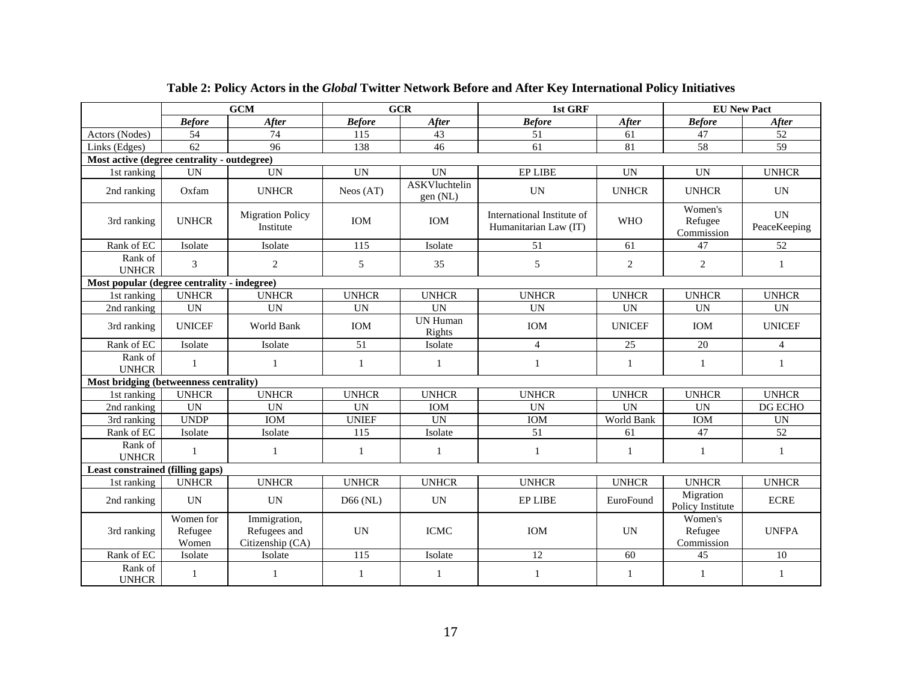|                                             |                                        | <b>GCM</b>                                       |               | <b>GCR</b>                | 1st GRF                                                           |               | <b>EU New Pact</b>               |                           |
|---------------------------------------------|----------------------------------------|--------------------------------------------------|---------------|---------------------------|-------------------------------------------------------------------|---------------|----------------------------------|---------------------------|
|                                             | <b>Before</b>                          | <b>After</b>                                     | <b>Before</b> | <b>After</b>              | <b>Before</b>                                                     | <b>After</b>  | <b>Before</b>                    | <b>After</b>              |
| Actors (Nodes)                              | 54                                     | 74                                               | 115           | 43                        | 51                                                                | 61            | 47                               | 52                        |
| Links (Edges)                               | $\overline{62}$                        | 96                                               | 138           | 46                        | 61                                                                | 81            | 58                               | 59                        |
| Most active (degree centrality - outdegree) |                                        |                                                  |               |                           |                                                                   |               |                                  |                           |
| 1st ranking                                 | UN                                     | <b>UN</b>                                        | <b>UN</b>     | <b>UN</b>                 | <b>EP LIBE</b>                                                    | <b>UN</b>     | <b>UN</b>                        | <b>UNHCR</b>              |
| 2nd ranking                                 | Oxfam                                  | <b>UNHCR</b>                                     | Neos (AT)     | ASKVluchtelin<br>gen (NL) | <b>UN</b>                                                         | <b>UNHCR</b>  | <b>UNHCR</b>                     | <b>UN</b>                 |
| 3rd ranking                                 | <b>UNHCR</b>                           | <b>Migration Policy</b><br>Institute             | <b>IOM</b>    | <b>IOM</b>                | International Institute of<br><b>WHO</b><br>Humanitarian Law (IT) |               | Women's<br>Refugee<br>Commission | <b>UN</b><br>PeaceKeeping |
| Rank of EC                                  | Isolate                                | Isolate                                          | 115           | Isolate                   | 51                                                                | 61            | 47                               | 52                        |
| Rank of<br><b>UNHCR</b>                     | 3                                      | 2                                                | 5             | 35                        | 5                                                                 | 2             | 2                                | 1                         |
| Most popular (degree centrality - indegree) |                                        |                                                  |               |                           |                                                                   |               |                                  |                           |
| 1st ranking                                 | <b>UNHCR</b>                           | <b>UNHCR</b>                                     | <b>UNHCR</b>  | <b>UNHCR</b>              | <b>UNHCR</b>                                                      | <b>UNHCR</b>  | <b>UNHCR</b>                     | <b>UNHCR</b>              |
| 2nd ranking                                 | <b>UN</b>                              | <b>UN</b>                                        | <b>UN</b>     | <b>UN</b>                 | <b>UN</b>                                                         | <b>UN</b>     | <b>UN</b>                        | <b>UN</b>                 |
| 3rd ranking                                 | <b>UNICEF</b>                          | World Bank                                       | <b>IOM</b>    | <b>UN Human</b><br>Rights | <b>IOM</b>                                                        | <b>UNICEF</b> | <b>IOM</b>                       | <b>UNICEF</b>             |
| Rank of EC                                  | Isolate                                | Isolate                                          | 51            | Isolate                   | $\overline{4}$                                                    | 25            | 20                               | $\overline{4}$            |
| Rank of<br><b>UNHCR</b>                     | -1                                     | -1                                               | 1             | 1                         | 1                                                                 | 1             | 1                                | 1                         |
|                                             | Most bridging (betweenness centrality) |                                                  |               |                           |                                                                   |               |                                  |                           |
| 1st ranking                                 | <b>UNHCR</b>                           | <b>UNHCR</b>                                     | <b>UNHCR</b>  | <b>UNHCR</b>              | <b>UNHCR</b>                                                      | <b>UNHCR</b>  | <b>UNHCR</b>                     | <b>UNHCR</b>              |
| 2nd ranking                                 | <b>UN</b>                              | <b>UN</b>                                        | <b>UN</b>     | IOM                       | <b>UN</b>                                                         | <b>UN</b>     | <b>UN</b>                        | DG ECHO                   |
| 3rd ranking                                 | <b>UNDP</b>                            | <b>IOM</b>                                       | <b>UNIEF</b>  | <b>UN</b>                 | <b>IOM</b>                                                        | World Bank    | <b>IOM</b>                       | <b>UN</b>                 |
| Rank of EC                                  | Isolate                                | Isolate                                          | 115           | Isolate                   | 51                                                                | 61            | 47                               | $\overline{52}$           |
| Rank of<br><b>UNHCR</b>                     | 1                                      | 1                                                | 1             | 1                         | $\mathbf{1}$                                                      | -1            | $\mathbf{1}$                     | $\mathbf{1}$              |
| <b>Least constrained (filling gaps)</b>     |                                        |                                                  |               |                           |                                                                   |               |                                  |                           |
| 1st ranking                                 | <b>UNHCR</b>                           | <b>UNHCR</b>                                     | <b>UNHCR</b>  | <b>UNHCR</b>              | <b>UNHCR</b>                                                      | <b>UNHCR</b>  | <b>UNHCR</b>                     | <b>UNHCR</b>              |
| 2nd ranking                                 | <b>UN</b>                              | <b>UN</b>                                        | $D66$ (NL)    | <b>UN</b>                 | <b>EP LIBE</b>                                                    | EuroFound     | Migration<br>Policy Institute    | <b>ECRE</b>               |
| 3rd ranking                                 | Women for<br>Refugee<br>Women          | Immigration,<br>Refugees and<br>Citizenship (CA) | <b>UN</b>     | <b>ICMC</b>               | <b>IOM</b>                                                        | <b>UN</b>     | Women's<br>Refugee<br>Commission | <b>UNFPA</b>              |
| Rank of EC                                  | Isolate                                | Isolate                                          | 115           | Isolate                   | $\overline{12}$                                                   | 60            | 45                               | 10                        |
| Rank of<br><b>UNHCR</b>                     | $\mathbf{1}$                           | 1                                                | 1             | $\mathbf{1}$              | $\mathbf{1}$                                                      | $\mathbf{1}$  | 1                                | 1                         |

# **Table 2: Policy Actors in the** *Global* **Twitter Network Before and After Key International Policy Initiatives**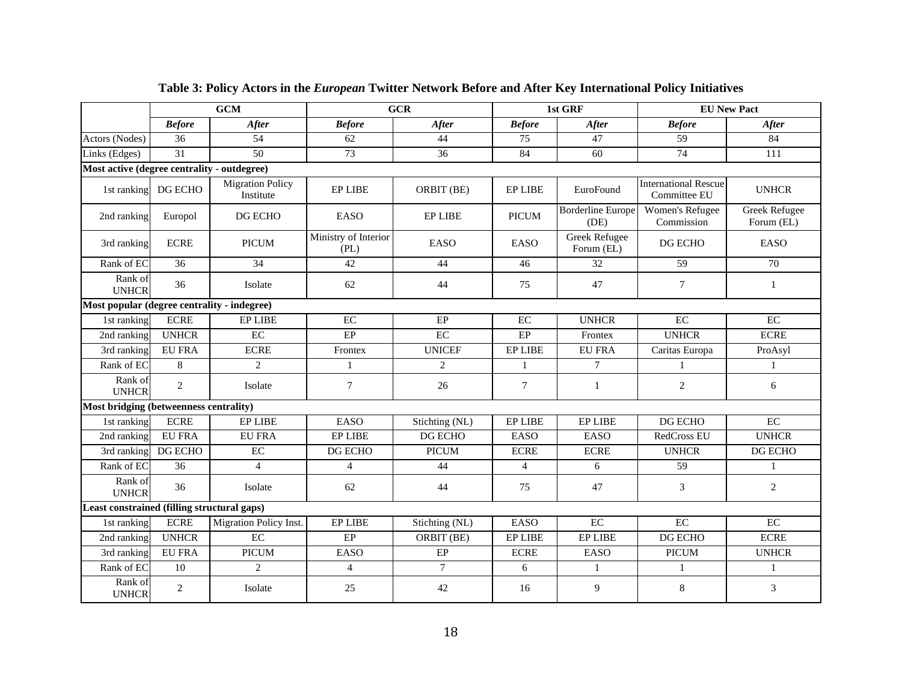|                                             |                                             | <b>GCM</b>                           |                              | GCR            |                              | 1st GRF                            | <b>EU New Pact</b>                          |                                    |  |
|---------------------------------------------|---------------------------------------------|--------------------------------------|------------------------------|----------------|------------------------------|------------------------------------|---------------------------------------------|------------------------------------|--|
|                                             | <b>Before</b>                               | <b>After</b>                         | <b>Before</b>                | <b>After</b>   | <b>Before</b>                | <b>After</b>                       | <b>Before</b>                               | <b>After</b>                       |  |
| Actors (Nodes)                              | 36                                          | 54                                   | 62                           | 44             | 75                           | 47                                 | 59                                          | 84                                 |  |
| Links (Edges)                               | 31                                          | 50                                   | 73                           | 36             | 84                           | 60                                 | 74                                          | 111                                |  |
|                                             | Most active (degree centrality - outdegree) |                                      |                              |                |                              |                                    |                                             |                                    |  |
| 1st ranking                                 | DG ECHO                                     | <b>Migration Policy</b><br>Institute | <b>EP LIBE</b>               | ORBIT (BE)     | EP LIBE                      | EuroFound                          | <b>International Rescue</b><br>Committee EU | <b>UNHCR</b>                       |  |
| 2nd ranking                                 | Europol                                     | DG ECHO                              | EASO                         | <b>EP LIBE</b> | <b>PICUM</b>                 | <b>Borderline Europe</b><br>(DE)   | Women's Refugee<br>Commission               | <b>Greek Refugee</b><br>Forum (EL) |  |
| 3rd ranking                                 | <b>ECRE</b>                                 | <b>PICUM</b>                         | Ministry of Interior<br>(PL) | EASO           | EASO                         | <b>Greek Refugee</b><br>Forum (EL) | DG ECHO                                     | EASO                               |  |
| Rank of EC                                  | 36                                          | 34                                   | 42                           | 44             | 46                           | 32                                 | 59                                          | 70                                 |  |
| Rank of<br><b>UNHCR</b>                     | 36                                          | Isolate                              | 62                           | 44             | 75                           | 47                                 | $\tau$                                      | $\mathbf{1}$                       |  |
| Most popular (degree centrality - indegree) |                                             |                                      |                              |                |                              |                                    |                                             |                                    |  |
| 1st ranking                                 | <b>ECRE</b>                                 | <b>EP LIBE</b>                       | EC                           | EP             | EC                           | <b>UNHCR</b>                       | EC                                          | $\rm EC$                           |  |
| 2nd ranking                                 | <b>UNHCR</b>                                | EC                                   | EP                           | EC             | EP                           | Frontex                            | <b>UNHCR</b>                                | <b>ECRE</b>                        |  |
| 3rd ranking                                 | <b>EU FRA</b>                               | <b>ECRE</b>                          | Frontex                      | <b>UNICEF</b>  | EP LIBE                      | <b>EU FRA</b>                      | Caritas Europa                              | ProAsyl                            |  |
| Rank of EC                                  | 8                                           | 2                                    | $\mathbf{1}$                 | $\overline{2}$ | $\mathbf{1}$                 | $\tau$                             | $\mathbf{1}$                                | $\mathbf{1}$                       |  |
| Rank of<br><b>UNHCR</b>                     | $\overline{c}$                              | Isolate                              | $7\phantom{.0}$              | 26             | 7                            | $\mathbf{1}$                       | 2                                           | 6                                  |  |
| Most bridging (betweenness centrality)      |                                             |                                      |                              |                |                              |                                    |                                             |                                    |  |
| 1st ranking                                 | <b>ECRE</b>                                 | <b>EP LIBE</b>                       | <b>EASO</b>                  | Stichting (NL) | <b>EP LIBE</b>               | EP LIBE                            | DG ECHO                                     | EC                                 |  |
| 2nd ranking                                 | <b>EU FRA</b>                               | <b>EU FRA</b>                        | <b>EP LIBE</b>               | <b>DG ECHO</b> | <b>EASO</b>                  | <b>EASO</b>                        | RedCross EU                                 | <b>UNHCR</b>                       |  |
| 3rd ranking                                 | DG ECHO                                     | EC                                   | DG ECHO                      | <b>PICUM</b>   | <b>ECRE</b>                  | <b>ECRE</b>                        | <b>UNHCR</b>                                | DG ECHO                            |  |
| Rank of EC                                  | 36                                          | $\overline{4}$                       | $\overline{4}$               | 44             | 4                            | 6                                  | 59                                          | 1                                  |  |
| Rank of<br><b>UNHCR</b>                     | 36                                          | Isolate                              | 62                           | 44             | 75                           | 47                                 | 3                                           | $\overline{2}$                     |  |
| Least constrained (filling structural gaps) |                                             |                                      |                              |                |                              |                                    |                                             |                                    |  |
| 1st ranking                                 | <b>ECRE</b>                                 | Migration Policy Inst.               | <b>EP LIBE</b>               | Stichting (NL) | <b>EASO</b>                  | EC                                 | EC                                          | $\rm EC$                           |  |
| 2nd ranking                                 | <b>UNHCR</b>                                | EC                                   | EP                           | ORBIT (BE)     | <b>EP LIBE</b>               | EP LIBE                            | DG ECHO                                     | <b>ECRE</b>                        |  |
| 3rd ranking                                 | <b>EU FRA</b>                               | <b>PICUM</b>                         | <b>EASO</b>                  | $\rm EP$       | $\ensuremath{\textit{ECRE}}$ | <b>EASO</b>                        | <b>PICUM</b>                                | <b>UNHCR</b>                       |  |
| Rank of EC                                  | 10                                          | 2                                    | $\overline{4}$               | 7              | 6                            | 1                                  | $\mathbf{1}$                                | 1                                  |  |
| Rank of<br><b>UNHCR</b>                     | $\overline{c}$                              | Isolate                              | 25                           | 42             | 16                           | 9                                  | 8                                           | 3                                  |  |

# **Table 3: Policy Actors in the** *European* **Twitter Network Before and After Key International Policy Initiatives**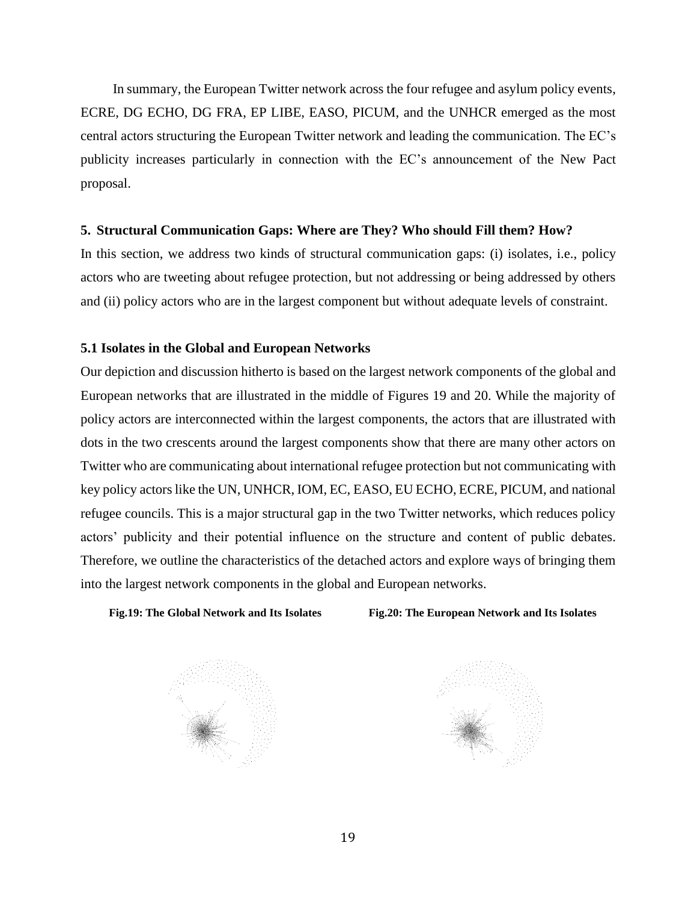In summary, the European Twitter network across the four refugee and asylum policy events, ECRE, DG ECHO, DG FRA, EP LIBE, EASO, PICUM, and the UNHCR emerged as the most central actors structuring the European Twitter network and leading the communication. The EC's publicity increases particularly in connection with the EC's announcement of the New Pact proposal.

#### **5. Structural Communication Gaps: Where are They? Who should Fill them? How?**

In this section, we address two kinds of structural communication gaps: (i) isolates, i.e., policy actors who are tweeting about refugee protection, but not addressing or being addressed by others and (ii) policy actors who are in the largest component but without adequate levels of constraint.

#### **5.1 Isolates in the Global and European Networks**

Our depiction and discussion hitherto is based on the largest network components of the global and European networks that are illustrated in the middle of Figures 19 and 20. While the majority of policy actors are interconnected within the largest components, the actors that are illustrated with dots in the two crescents around the largest components show that there are many other actors on Twitter who are communicating about international refugee protection but not communicating with key policy actors like the UN, UNHCR, IOM, EC, EASO, EU ECHO, ECRE, PICUM, and national refugee councils. This is a major structural gap in the two Twitter networks, which reduces policy actors' publicity and their potential influence on the structure and content of public debates. Therefore, we outline the characteristics of the detached actors and explore ways of bringing them into the largest network components in the global and European networks.

**Fig.19: The Global Network and Its Isolates Fig.20: The European Network and Its Isolates**



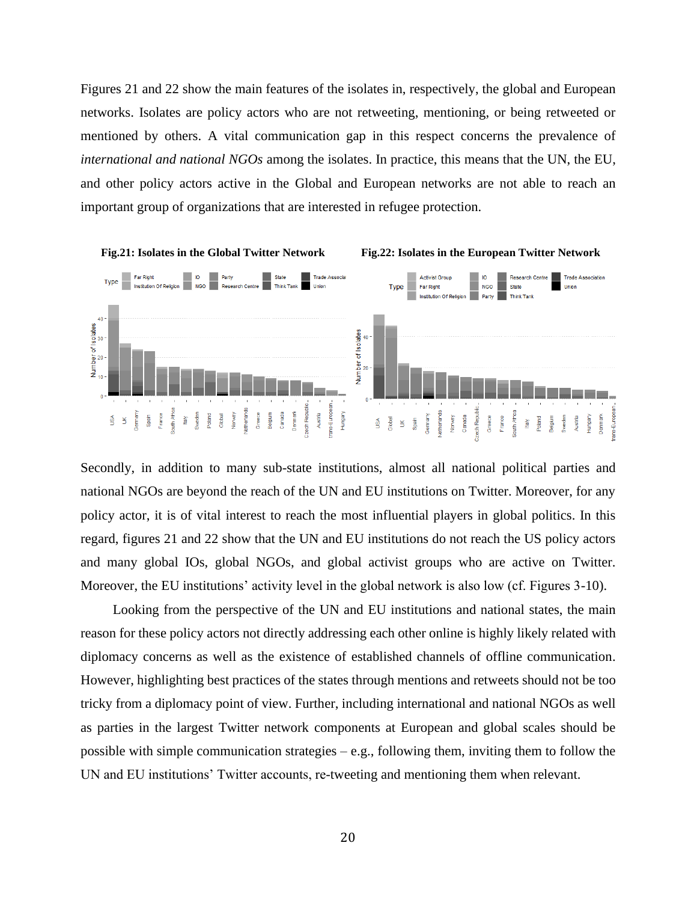Figures 21 and 22 show the main features of the isolates in, respectively, the global and European networks. Isolates are policy actors who are not retweeting, mentioning, or being retweeted or mentioned by others. A vital communication gap in this respect concerns the prevalence of *international and national NGOs* among the isolates. In practice, this means that the UN, the EU, and other policy actors active in the Global and European networks are not able to reach an important group of organizations that are interested in refugee protection.



Secondly, in addition to many sub-state institutions, almost all national political parties and national NGOs are beyond the reach of the UN and EU institutions on Twitter. Moreover, for any policy actor, it is of vital interest to reach the most influential players in global politics. In this regard, figures 21 and 22 show that the UN and EU institutions do not reach the US policy actors and many global IOs, global NGOs, and global activist groups who are active on Twitter. Moreover, the EU institutions' activity level in the global network is also low (cf. Figures 3-10).

Looking from the perspective of the UN and EU institutions and national states, the main reason for these policy actors not directly addressing each other online is highly likely related with diplomacy concerns as well as the existence of established channels of offline communication. However, highlighting best practices of the states through mentions and retweets should not be too tricky from a diplomacy point of view. Further, including international and national NGOs as well as parties in the largest Twitter network components at European and global scales should be possible with simple communication strategies  $-e.g.,$  following them, inviting them to follow the UN and EU institutions' Twitter accounts, re-tweeting and mentioning them when relevant.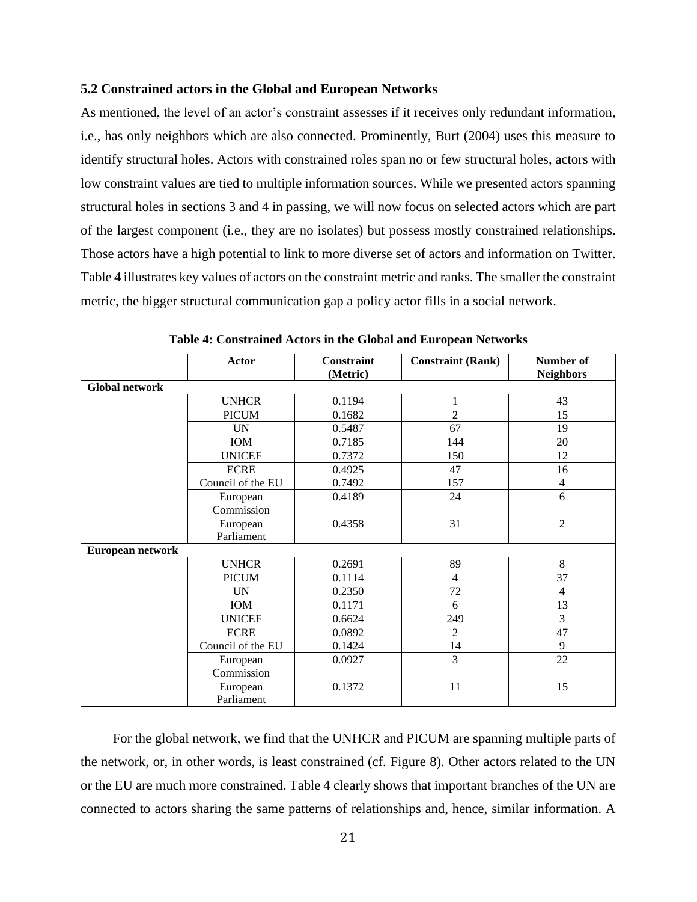#### **5.2 Constrained actors in the Global and European Networks**

As mentioned, the level of an actor's constraint assesses if it receives only redundant information, i.e., has only neighbors which are also connected. Prominently, Burt (2004) uses this measure to identify structural holes. Actors with constrained roles span no or few structural holes, actors with low constraint values are tied to multiple information sources. While we presented actors spanning structural holes in sections 3 and 4 in passing, we will now focus on selected actors which are part of the largest component (i.e., they are no isolates) but possess mostly constrained relationships. Those actors have a high potential to link to more diverse set of actors and information on Twitter. Table 4 illustrates key values of actors on the constraint metric and ranks. The smaller the constraint metric, the bigger structural communication gap a policy actor fills in a social network.

|                       | <b>Actor</b>      | <b>Constraint</b><br>(Metric) | <b>Constraint (Rank)</b> | Number of<br><b>Neighbors</b> |
|-----------------------|-------------------|-------------------------------|--------------------------|-------------------------------|
| <b>Global network</b> |                   |                               |                          |                               |
|                       | <b>UNHCR</b>      | 0.1194                        | 1                        | 43                            |
|                       | <b>PICUM</b>      | 0.1682                        | $\overline{2}$           | 15                            |
|                       | <b>UN</b>         | 0.5487                        | 67                       | 19                            |
|                       | IOM               | 0.7185                        | 144                      | 20                            |
|                       | <b>UNICEF</b>     | 0.7372                        | 150                      | 12                            |
|                       | <b>ECRE</b>       | 0.4925                        | 47                       | 16                            |
|                       | Council of the EU | 0.7492                        | 157                      | $\overline{4}$                |
|                       | European          | 0.4189                        | 24                       | 6                             |
|                       | Commission        |                               |                          |                               |
|                       | European          | 0.4358                        | 31                       | $\overline{2}$                |
|                       | Parliament        |                               |                          |                               |
| European network      |                   |                               |                          |                               |
|                       | <b>UNHCR</b>      | 0.2691                        | 89                       | 8                             |
|                       | <b>PICUM</b>      | 0.1114                        | $\overline{4}$           | 37                            |
|                       | <b>UN</b>         | 0.2350                        | 72                       | 4                             |
|                       | IOM               | 0.1171                        | 6                        | 13                            |
|                       | <b>UNICEF</b>     | 0.6624                        | 249                      | 3                             |
|                       | <b>ECRE</b>       | 0.0892                        | $\overline{2}$           | 47                            |
|                       | Council of the EU | 0.1424                        | 14                       | 9                             |
|                       | European          | 0.0927                        | 3                        | $22\,$                        |
|                       | Commission        |                               |                          |                               |
|                       | European          | 0.1372                        | 11                       | 15                            |
|                       | Parliament        |                               |                          |                               |

**Table 4: Constrained Actors in the Global and European Networks**

For the global network, we find that the UNHCR and PICUM are spanning multiple parts of the network, or, in other words, is least constrained (cf. Figure 8). Other actors related to the UN or the EU are much more constrained. Table 4 clearly shows that important branches of the UN are connected to actors sharing the same patterns of relationships and, hence, similar information. A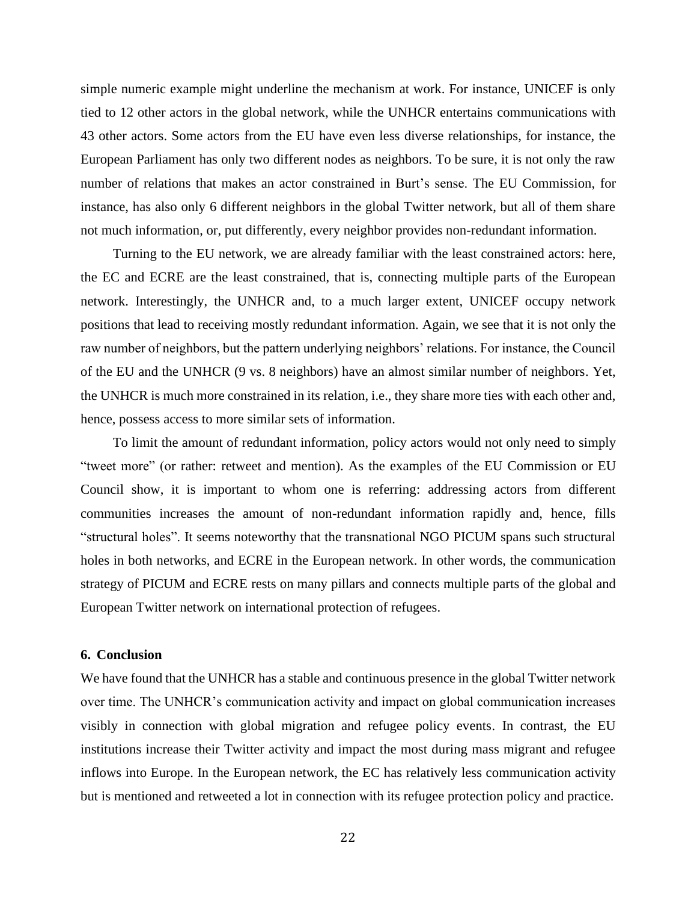simple numeric example might underline the mechanism at work. For instance, UNICEF is only tied to 12 other actors in the global network, while the UNHCR entertains communications with 43 other actors. Some actors from the EU have even less diverse relationships, for instance, the European Parliament has only two different nodes as neighbors. To be sure, it is not only the raw number of relations that makes an actor constrained in Burt's sense. The EU Commission, for instance, has also only 6 different neighbors in the global Twitter network, but all of them share not much information, or, put differently, every neighbor provides non-redundant information.

Turning to the EU network, we are already familiar with the least constrained actors: here, the EC and ECRE are the least constrained, that is, connecting multiple parts of the European network. Interestingly, the UNHCR and, to a much larger extent, UNICEF occupy network positions that lead to receiving mostly redundant information. Again, we see that it is not only the raw number of neighbors, but the pattern underlying neighbors' relations. For instance, the Council of the EU and the UNHCR (9 vs. 8 neighbors) have an almost similar number of neighbors. Yet, the UNHCR is much more constrained in its relation, i.e., they share more ties with each other and, hence, possess access to more similar sets of information.

To limit the amount of redundant information, policy actors would not only need to simply "tweet more" (or rather: retweet and mention). As the examples of the EU Commission or EU Council show, it is important to whom one is referring: addressing actors from different communities increases the amount of non-redundant information rapidly and, hence, fills "structural holes". It seems noteworthy that the transnational NGO PICUM spans such structural holes in both networks, and ECRE in the European network. In other words, the communication strategy of PICUM and ECRE rests on many pillars and connects multiple parts of the global and European Twitter network on international protection of refugees.

#### **6. Conclusion**

We have found that the UNHCR has a stable and continuous presence in the global Twitter network over time. The UNHCR's communication activity and impact on global communication increases visibly in connection with global migration and refugee policy events. In contrast, the EU institutions increase their Twitter activity and impact the most during mass migrant and refugee inflows into Europe. In the European network, the EC has relatively less communication activity but is mentioned and retweeted a lot in connection with its refugee protection policy and practice.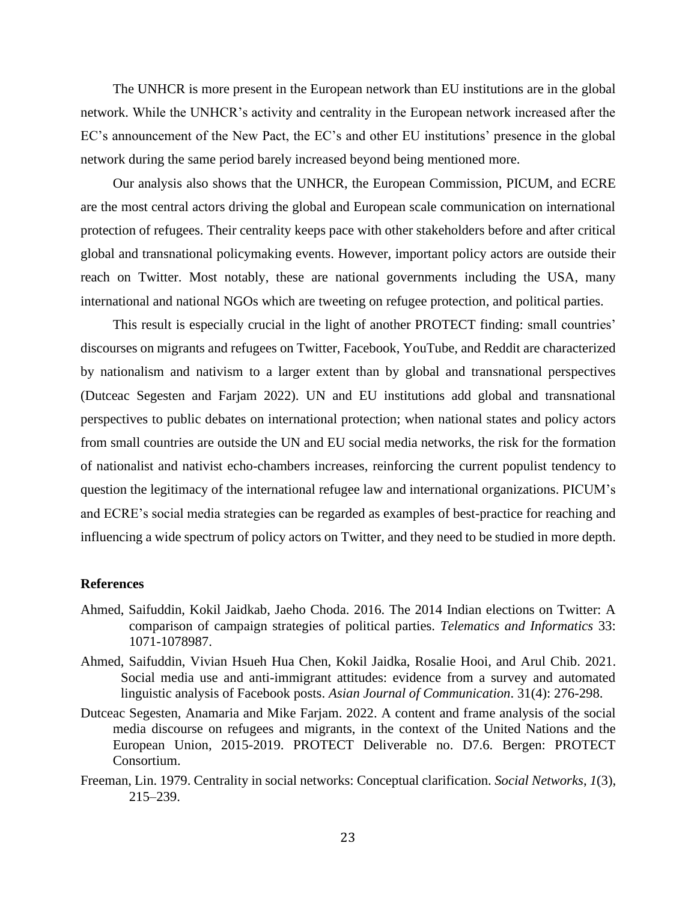The UNHCR is more present in the European network than EU institutions are in the global network. While the UNHCR's activity and centrality in the European network increased after the EC's announcement of the New Pact, the EC's and other EU institutions' presence in the global network during the same period barely increased beyond being mentioned more.

Our analysis also shows that the UNHCR, the European Commission, PICUM, and ECRE are the most central actors driving the global and European scale communication on international protection of refugees. Their centrality keeps pace with other stakeholders before and after critical global and transnational policymaking events. However, important policy actors are outside their reach on Twitter. Most notably, these are national governments including the USA, many international and national NGOs which are tweeting on refugee protection, and political parties.

This result is especially crucial in the light of another PROTECT finding: small countries' discourses on migrants and refugees on Twitter, Facebook, YouTube, and Reddit are characterized by nationalism and nativism to a larger extent than by global and transnational perspectives (Dutceac Segesten and Farjam 2022). UN and EU institutions add global and transnational perspectives to public debates on international protection; when national states and policy actors from small countries are outside the UN and EU social media networks, the risk for the formation of nationalist and nativist echo-chambers increases, reinforcing the current populist tendency to question the legitimacy of the international refugee law and international organizations. PICUM's and ECRE's social media strategies can be regarded as examples of best-practice for reaching and influencing a wide spectrum of policy actors on Twitter, and they need to be studied in more depth.

#### **References**

- Ahmed, Saifuddin, Kokil Jaidkab, Jaeho Choda. 2016. The 2014 Indian elections on Twitter: A comparison of campaign strategies of political parties. *Telematics and Informatics* 33: 1071-1078987.
- Ahmed, Saifuddin, Vivian Hsueh Hua Chen, Kokil Jaidka, Rosalie Hooi, and Arul Chib. 2021. Social media use and anti-immigrant attitudes: evidence from a survey and automated linguistic analysis of Facebook posts. *Asian Journal of Communication*. 31(4): 276-298.
- Dutceac Segesten, Anamaria and Mike Farjam. 2022. A content and frame analysis of the social media discourse on refugees and migrants, in the context of the United Nations and the European Union, 2015-2019. PROTECT Deliverable no. D7.6. Bergen: PROTECT Consortium.
- Freeman, Lin. 1979. Centrality in social networks: Conceptual clarification. *Social Networks*, *1*(3), 215–239.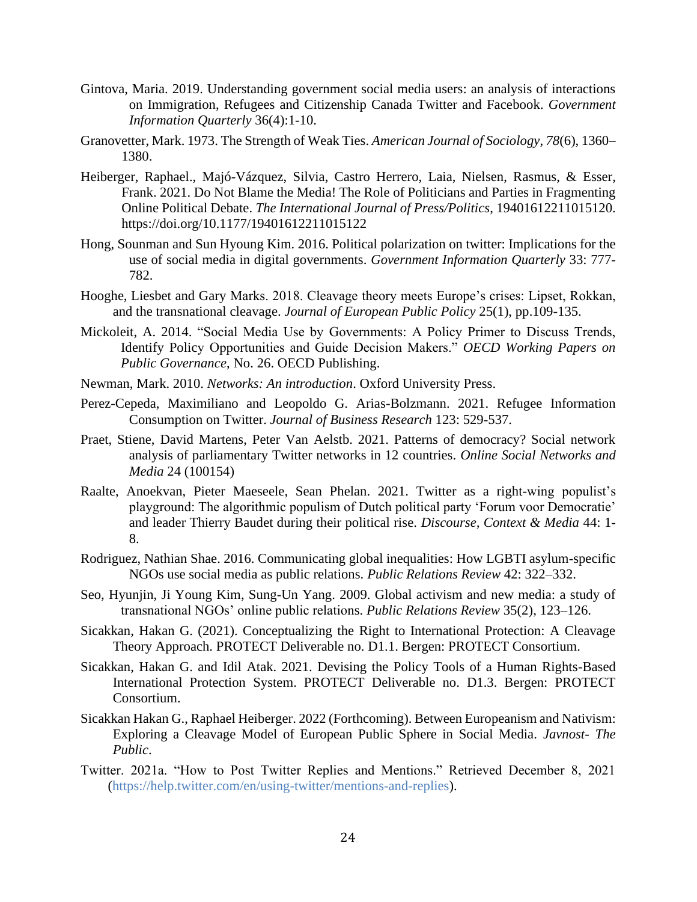- Gintova, Maria. 2019. Understanding government social media users: an analysis of interactions on Immigration, Refugees and Citizenship Canada Twitter and Facebook. *Government Information Quarterly* 36(4):1-10.
- Granovetter, Mark. 1973. The Strength of Weak Ties. *American Journal of Sociology*, *78*(6), 1360– 1380.
- Heiberger, Raphael., Majó-Vázquez, Silvia, Castro Herrero, Laia, Nielsen, Rasmus, & Esser, Frank. 2021. Do Not Blame the Media! The Role of Politicians and Parties in Fragmenting Online Political Debate. *The International Journal of Press/Politics*, 19401612211015120. https://doi.org/10.1177/19401612211015122
- Hong, Sounman and Sun Hyoung Kim. 2016. Political polarization on twitter: Implications for the use of social media in digital governments. *Government Information Quarterly* 33: 777- 782.
- Hooghe, Liesbet and Gary Marks. 2018. Cleavage theory meets Europe's crises: Lipset, Rokkan, and the transnational cleavage. *Journal of European Public Policy* 25(1), pp.109-135.
- Mickoleit, A. 2014. "Social Media Use by Governments: A Policy Primer to Discuss Trends, Identify Policy Opportunities and Guide Decision Makers." *OECD Working Papers on Public Governance*, No. 26. OECD Publishing.
- Newman, Mark. 2010. *Networks: An introduction*. Oxford University Press.
- Perez-Cepeda, Maximiliano and Leopoldo G. Arias-Bolzmann. 2021. Refugee Information Consumption on Twitter. *Journal of Business Research* 123: 529-537.
- Praet, Stiene, David Martens, Peter Van Aelstb. 2021. Patterns of democracy? Social network analysis of parliamentary Twitter networks in 12 countries. *Online Social Networks and Media* 24 (100154)
- Raalte, Anoekvan, Pieter Maeseele, Sean Phelan. 2021. Twitter as a right-wing populist's playground: The algorithmic populism of Dutch political party 'Forum voor Democratie' and leader Thierry Baudet during their political rise. *Discourse, Context & Media* 44: 1- 8.
- Rodriguez, Nathian Shae. 2016. Communicating global inequalities: How LGBTI asylum-specific NGOs use social media as public relations. *Public Relations Review* 42: 322–332.
- Seo, Hyunjin, Ji Young Kim, Sung-Un Yang. 2009. Global activism and new media: a study of transnational NGOs' online public relations. *Public Relations Review* 35(2), 123–126.
- Sicakkan, Hakan G. (2021). Conceptualizing the Right to International Protection: A Cleavage Theory Approach. PROTECT Deliverable no. D1.1. Bergen: PROTECT Consortium.
- Sicakkan, Hakan G. and Idil Atak. 2021. Devising the Policy Tools of a Human Rights-Based International Protection System. PROTECT Deliverable no. D1.3. Bergen: PROTECT Consortium.
- Sicakkan Hakan G., Raphael Heiberger. 2022 (Forthcoming). Between Europeanism and Nativism: Exploring a Cleavage Model of European Public Sphere in Social Media. *Javnost- The Public*.
- Twitter. 2021a. "How to Post Twitter Replies and Mentions." Retrieved December 8, 2021 [\(https://help.twitter.com/en/using-twitter/mentions-and-replies\)](https://help.twitter.com/en/using-twitter/mentions-and-replies).